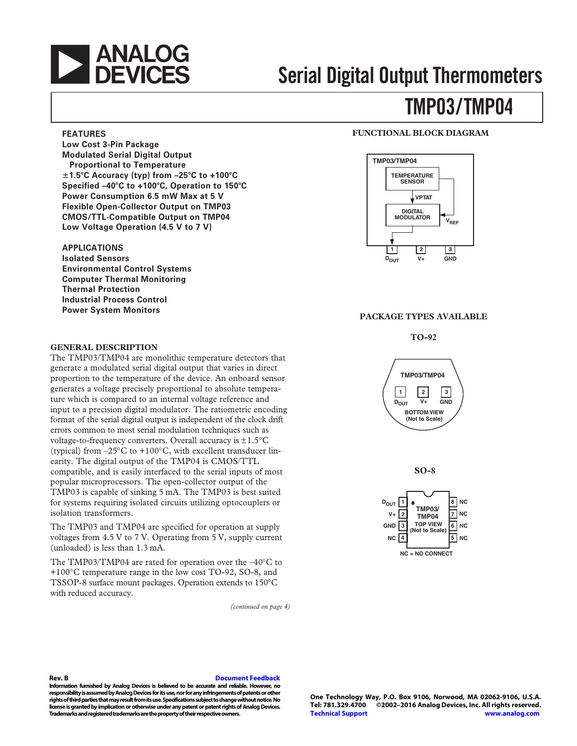

#### **FEATURES**

**Low Cost 3-Pin Package Modulated Serial Digital Output Proportional to Temperature 1.5**-**C Accuracy (typ) from –25**-**C to +100**-**C Specified –40**-**C to +100**-**C, Operation to 150**-**C Power Consumption 6.5 mW Max at 5 V Flexible Open-Collector Output on TMP03 CMOS/TTL-Compatible Output on TMP04 Low Voltage Operation (4.5 V to 7 V)**

### **APPLICATIONS**

**Isolated Sensors Environmental Control Systems Computer Thermal Monitoring Thermal Protection Industrial Process Control Power System Monitors**

### **GENERAL DESCRIPTION**

The TMP03/TMP04 are monolithic temperature detectors that generate a modulated serial digital output that varies in direct proportion to the temperature of the device. An onboard sensor generates a voltage precisely proportional to absolute temperature which is compared to an internal voltage reference and input to a precision digital modulator. The ratiometric encoding format of the serial digital output is independent of the clock drift errors common to most serial modulation techniques such as voltage-to-frequency converters. Overall accuracy is  $\pm 1.5^{\circ}$ C (typical) from  $-25^{\circ}$ C to  $+100^{\circ}$ C, with excellent transducer linearity. The digital output of the TMP04 is CMOS/TTL compatible, and is easily interfaced to the serial inputs of most popular microprocessors. The open-collector output of the TMP03 is capable of sinking 5 mA. The TMP03 is best suited for systems requiring isolated circuits utilizing optocouplers or isolation transformers.

The TMP03 and TMP04 are specified for operation at supply voltages from 4.5 V to 7 V. Operating from 5 V, supply current (unloaded) is less than 1.3 mA.

The TMP03/TMP04 are rated for operation over the –40°C to +100°C temperature range in the low cost TO-92, SO-8, and TSSOP-8 surface mount packages. Operation extends to 150°C with reduced accuracy.

*(continued on page 4)*

### **FUNCTIONAL BLOCK DIAGRAM**



#### **PACKAGE TYPES AVAILABLE**

**TO-92**



**SO-8** 



**Rev. B [Document Feedback](https://form.analog.com/Form_Pages/feedback/documentfeedback.aspx?doc=TMP03_04.pdf&product=TMP03%20TMP04&rev=B)**

**Information furnished by Analog Devices is believed to be accurate and reliable. However, no responsibility is assumed by Analog Devices for its use, nor for any infringements of patents or other rights of third parties that may result from its use. Specifications subject to change without notice. No license is granted by implication or otherwise under any patent or patent rights of Analog Devices. Trademarks and registered trademarks are the property of their respective owners.**

**One Technology Way, P.O. Box 9106, Norwood, MA 02062-9106, U.S.A.** ©2002-2016 Analog Devices, Inc. All rights reserved. **[Technical Support](http://www.analog.com/en/content/technical_support_page/fca.html) [www.analog.com](http://www.analog.com/)**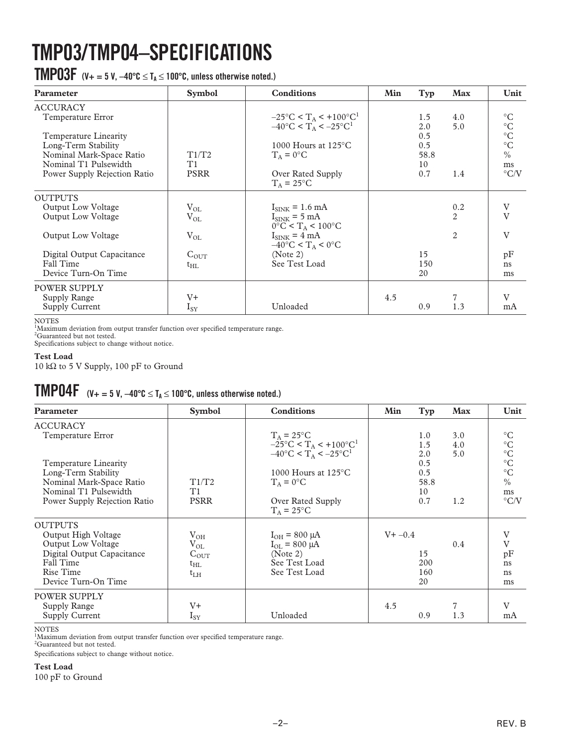# **TMP03/TMP04–SPECIFICATIONS**

 $\textbf{TMPO3F}$  (V+ = 5 V,  $-40^{\circ}$ C  $\leq$  T<sub>A</sub>  $\leq$  100°C, unless otherwise noted.)

| <b>Parameter</b>                                                                                                                                                          | <b>Symbol</b>                                             | <b>Conditions</b>                                                                                                                                                                                                      | Min | Typ                                           | <b>Max</b>                 | Unit                                                                                                         |
|---------------------------------------------------------------------------------------------------------------------------------------------------------------------------|-----------------------------------------------------------|------------------------------------------------------------------------------------------------------------------------------------------------------------------------------------------------------------------------|-----|-----------------------------------------------|----------------------------|--------------------------------------------------------------------------------------------------------------|
| <b>ACCURACY</b><br>Temperature Error<br>Temperature Linearity<br>Long-Term Stability<br>Nominal Mark-Space Ratio<br>Nominal T1 Pulsewidth<br>Power Supply Rejection Ratio | T1/T2<br>T1<br><b>PSRR</b>                                | $-25^{\circ}$ C < T <sub>A</sub> < +100°C <sup>1</sup><br>$-40^{\circ}$ C < T <sub>A</sub> < $-25^{\circ}$ C <sup>1</sup><br>1000 Hours at $125^{\circ}$ C<br>$T_A = 0$ °C<br>Over Rated Supply<br>$T_A = 25^{\circ}C$ |     | 1.5<br>2.0<br>0.5<br>0.5<br>58.8<br>10<br>0.7 | 4.0<br>5.0<br>1.4          | $\rm ^{\circ}C$<br>$^{\circ}{\rm C}$<br>$^{\circ}{\rm C}$<br>$^{\circ}C$<br>$\%$<br>ms<br>$\rm ^{\circ} C/V$ |
| <b>OUTPUTS</b><br><b>Output Low Voltage</b><br><b>Output Low Voltage</b><br><b>Output Low Voltage</b><br>Digital Output Capacitance<br>Fall Time<br>Device Turn-On Time   | $V_{OL}$<br>$V_{OL}$<br>$V_{OL}$<br>$C_{OUT}$<br>$t_{HL}$ | $I_{\text{SINK}}$ = 1.6 mA<br>$I_{\text{SINK}}$ = 5 mA<br>$0^{\circ}$ C < T <sub>A</sub> < 100°C<br>$I_{\text{SINK}} = 4 \text{ mA}$<br>$-40^{\circ}$ C < T <sub>A</sub> < 0°C<br>(Note 2)<br>See Test Load            |     | 15<br>150<br>20                               | 0.2<br>$\overline{2}$<br>2 | V<br>$\overline{V}$<br>V<br>pF<br>ns<br>ms                                                                   |
| <b>POWER SUPPLY</b><br>Supply Range<br>Supply Current                                                                                                                     | V+<br>$I_{SY}$                                            | Unloaded                                                                                                                                                                                                               | 4.5 | 0.9                                           | 1.3                        | $\mathbf{V}$<br>mA                                                                                           |

NOTES 1 Maximum deviation from output transfer function over specified temperature range.

<sup>2</sup>Guaranteed but not tested.

Specifications subject to change without notice.

### **Test Load**

10 kΩ to 5 V Supply, 100 pF to Ground

### $\textbf{TMPO4F}$  (V+ = 5 V,  $-40^{\circ}$ C  $\leq$  T<sub>A</sub>  $\leq$  100°C, unless otherwise noted.)

| Parameter                                                                                                                                  | <b>Symbol</b>                                                        | <b>Conditions</b>                                                                                                                                      | Min        | Typ                                    | <b>Max</b> | Unit                                                                                             |
|--------------------------------------------------------------------------------------------------------------------------------------------|----------------------------------------------------------------------|--------------------------------------------------------------------------------------------------------------------------------------------------------|------------|----------------------------------------|------------|--------------------------------------------------------------------------------------------------|
| <b>ACCURACY</b><br>Temperature Error                                                                                                       |                                                                      | $T_A = 25$ °C<br>$-25^{\circ}$ C < T <sub>A</sub> < +100 $^{\circ}$ C <sup>1</sup>                                                                     |            | 1.0<br>1.5                             | 3.0<br>4.0 | $\rm ^{\circ}C$<br>$\rm ^{\circ}C$                                                               |
| Temperature Linearity<br>Long-Term Stability<br>Nominal Mark-Space Ratio<br>Nominal T1 Pulsewidth<br>Power Supply Rejection Ratio          | T1/T2<br>T1<br><b>PSRR</b>                                           | $-40^{\circ}$ C < T <sub>A</sub> < $-25^{\circ}$ C <sup>1</sup><br>1000 Hours at $125^{\circ}$ C<br>$T_A = 0$ °C<br>Over Rated Supply<br>$T_A = 25$ °C |            | 2.0<br>0.5<br>0.5<br>58.8<br>10<br>0.7 | 5.0<br>1.2 | $^{\circ}{\rm C}$<br>$\rm ^{\circ}C$<br>$^{\circ}C$<br>$\frac{0}{0}$<br>ms<br>$\rm ^{\circ} C/V$ |
| <b>OUTPUTS</b><br>Output High Voltage<br>Output Low Voltage<br>Digital Output Capacitance<br>Fall Time<br>Rise Time<br>Device Turn-On Time | $V_{OH}$<br>$V_{OL}$<br>$C_{\text{OUT}}$<br>$t_{\rm HL}$<br>$t_{LH}$ | $I_{OH}$ = 800 µA<br>$I_{OL}$ = 800 µA<br>(Note 2)<br>See Test Load<br>See Test Load                                                                   | $V + -0.4$ | 15<br>200<br>160<br>20                 | 0.4        | V<br>V<br>pF<br>ns<br>ns<br>ms                                                                   |
| <b>POWER SUPPLY</b><br>Supply Range<br>Supply Current                                                                                      | $V_{+}$<br>$I_{SY}$                                                  | Unloaded                                                                                                                                               | 4.5        | 0.9                                    | 1.3        | $\mathbf{V}$<br>mA                                                                               |

NOTES

<sup>1</sup>Maximum deviation from output transfer function over specified temperature range.

<sup>2</sup>Guaranteed but not tested.

Specifications subject to change without notice.

### **Test Load**

100 pF to Ground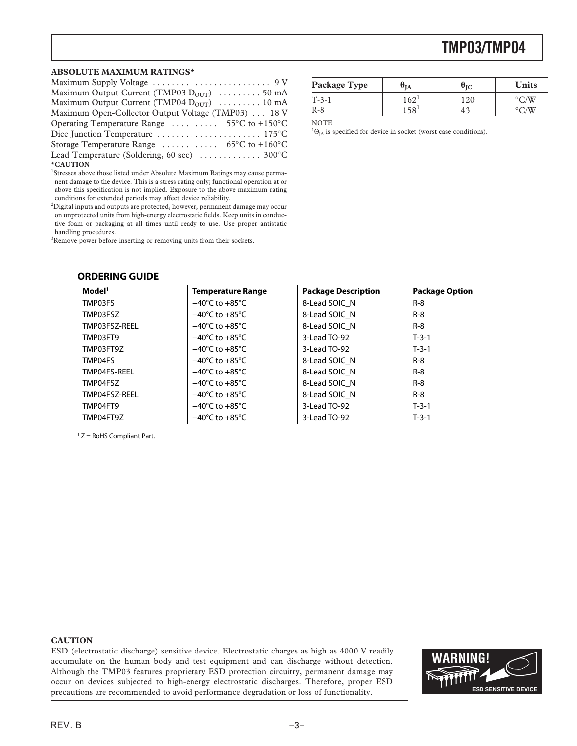#### **ABSOLUTE MAXIMUM RATINGS\***

| Maximum Output Current (TMP03 $D_{\text{OUT}}$ ) 50 mA                    |
|---------------------------------------------------------------------------|
| Maximum Output Current (TMP04 $D_{OUT}$ )  10 mA                          |
| Maximum Open-Collector Output Voltage (TMP03)  18 V                       |
| Operating Temperature Range $\ldots \ldots \ldots -55^{\circ}C$ to +150°C |
|                                                                           |
| Storage Temperature Range $\ldots \ldots \ldots -65$ °C to +160°C         |
| Lead Temperature (Soldering, 60 sec)  300°C                               |
| *CAUTION                                                                  |

<sup>1</sup>Stresses above those listed under Absolute Maximum Ratings may cause permanent damage to the device. This is a stress rating only; functional operation at or above this specification is not implied. Exposure to the above maximum rating conditions for extended periods may affect device reliability.

 $^2$ Digital inputs and outputs are protected, however, permanent damage may occur on unprotected units from high-energy electrostatic fields. Keep units in conductive foam or packaging at all times until ready to use. Use proper antistatic handling procedures.

<sup>3</sup>Remove power before inserting or removing units from their sockets.

#### **ORDERING GUIDE**

| Package Type | UIA              | $\bm{\theta}_{\text{IC}}$ | <b>Units</b> |
|--------------|------------------|---------------------------|--------------|
| $T-3-1$      | $162 -$          | 120                       |              |
| R-8          | 158 <sup>1</sup> | 4 <sup>2</sup>            |              |

NOTE

 ${}^{1}\Theta_{JA}$  is specified for device in socket (worst case conditions).

| Model <sup>1</sup> | <b>Temperature Range</b>           | <b>Package Description</b> | <b>Package Option</b> |
|--------------------|------------------------------------|----------------------------|-----------------------|
| TMP03FS            | $-40^{\circ}$ C to $+85^{\circ}$ C | 8-Lead SOIC N              | $R-8$                 |
| TMP03FSZ           | $-40^{\circ}$ C to $+85^{\circ}$ C | 8-Lead SOIC N              | $R - 8$               |
| TMP03FSZ-REEL      | $-40^{\circ}$ C to $+85^{\circ}$ C | 8-Lead SOIC N              | $R - 8$               |
| TMP03FT9           | $-40^{\circ}$ C to $+85^{\circ}$ C | 3-Lead TO-92               | $T-3-1$               |
| TMP03FT9Z          | $-40^{\circ}$ C to $+85^{\circ}$ C | 3-Lead TO-92               | $T-3-1$               |
| TMP04FS            | $-40^{\circ}$ C to $+85^{\circ}$ C | 8-Lead SOIC N              | $R - 8$               |
| TMP04FS-REEL       | $-40^{\circ}$ C to $+85^{\circ}$ C | 8-Lead SOIC N              | $R - 8$               |
| TMP04FSZ           | $-40^{\circ}$ C to $+85^{\circ}$ C | 8-Lead SOIC N              | $R - 8$               |
| TMP04FSZ-REEL      | $-40^{\circ}$ C to $+85^{\circ}$ C | 8-Lead SOIC N              | $R - 8$               |
| TMP04FT9           | $-40^{\circ}$ C to $+85^{\circ}$ C | 3-Lead TO-92               | $T-3-1$               |
| TMP04FT9Z          | $-40^{\circ}$ C to $+85^{\circ}$ C | 3-Lead TO-92               | $T-3-1$               |

<sup>1</sup> Z = RoHS Compliant Part.

#### **CAUTION**

ESD (electrostatic discharge) sensitive device. Electrostatic charges as high as 4000 V readily accumulate on the human body and test equipment and can discharge without detection. Although the TMP03 features proprietary ESD protection circuitry, permanent damage may occur on devices subjected to high-energy electrostatic discharges. Therefore, proper ESD precautions are recommended to avoid performance degradation or loss of functionality.

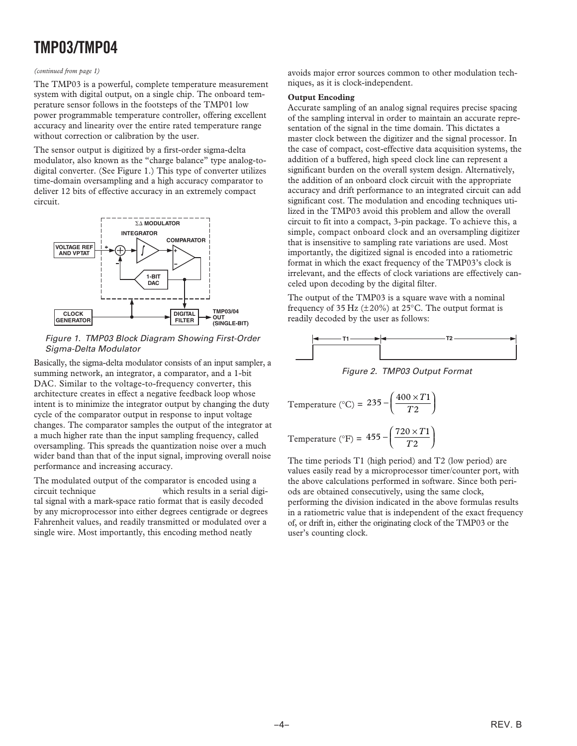#### *(continued from page 1)*

The TMP03 is a powerful, complete temperature measurement system with digital output, on a single chip. The onboard temperature sensor follows in the footsteps of the TMP01 low power programmable temperature controller, offering excellent accuracy and linearity over the entire rated temperature range without correction or calibration by the user.

The sensor output is digitized by a first-order sigma-delta modulator, also known as the "charge balance" type analog-todigital converter. (See Figure 1.) This type of converter utilizes time-domain oversampling and a high accuracy comparator to deliver 12 bits of effective accuracy in an extremely compact circuit.



Figure 1. TMP03 Block Diagram Showing First-Order Sigma-Delta Modulator

Basically, the sigma-delta modulator consists of an input sampler, a summing network, an integrator, a comparator, and a 1-bit DAC. Similar to the voltage-to-frequency converter, this architecture creates in effect a negative feedback loop whose intent is to minimize the integrator output by changing the duty cycle of the comparator output in response to input voltage changes. The comparator samples the output of the integrator at a much higher rate than the input sampling frequency, called oversampling. This spreads the quantization noise over a much wider band than that of the input signal, improving overall noise performance and increasing accuracy.

The modulated output of the comparator is encoded using a circuit technique which results in a serial digital signal with a mark-space ratio format that is easily decoded by any microprocessor into either degrees centigrade or degrees Fahrenheit values, and readily transmitted or modulated over a single wire. Most importantly, this encoding method neatly

avoids major error sources common to other modulation techniques, as it is clock-independent.

### **Output Encoding**

Accurate sampling of an analog signal requires precise spacing of the sampling interval in order to maintain an accurate representation of the signal in the time domain. This dictates a master clock between the digitizer and the signal processor. In the case of compact, cost-effective data acquisition systems, the addition of a buffered, high speed clock line can represent a significant burden on the overall system design. Alternatively, the addition of an onboard clock circuit with the appropriate accuracy and drift performance to an integrated circuit can add significant cost. The modulation and encoding techniques utilized in the TMP03 avoid this problem and allow the overall circuit to fit into a compact, 3-pin package. To achieve this, a simple, compact onboard clock and an oversampling digitizer that is insensitive to sampling rate variations are used. Most importantly, the digitized signal is encoded into a ratiometric format in which the exact frequency of the TMP03's clock is irrelevant, and the effects of clock variations are effectively canceled upon decoding by the digital filter.

The output of the TMP03 is a square wave with a nominal frequency of 35 Hz  $(\pm 20\%)$  at 25°C. The output format is readily decoded by the user as follows:



Figure 2. TMP03 Output Format

Temperature (°C) = 
$$
235 - \left(\frac{400 \times T1}{T2}\right)
$$

Temperature (°F) = 
$$
455 - \left(\frac{720 \times T1}{T2}\right)
$$

The time periods T1 (high period) and T2 (low period) are values easily read by a microprocessor timer/counter port, with the above calculations performed in software. Since both periods are obtained consecutively, using the same clock, performing the division indicated in the above formulas results in a ratiometric value that is independent of the exact frequency of, or drift in, either the originating clock of the TMP03 or the user's counting clock.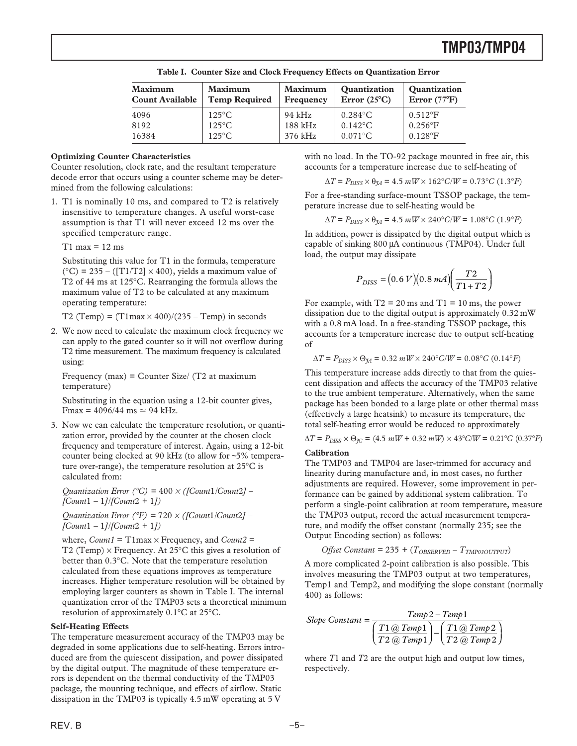| Maximum                | <b>Maximum</b>       | Maximum   | <b>Quantization</b>   | <b>Quantization</b>    |
|------------------------|----------------------|-----------|-----------------------|------------------------|
| <b>Count Available</b> | <b>Temp Required</b> | Frequency | Error $(25^{\circ}C)$ | Error $(77^{\circ}F)$  |
| 4096                   | $125^{\circ}$ C      | 94 kHz    | $0.284$ °C            | $0.512$ <sup>o</sup> F |
| 8192                   | $125^{\circ}$ C      | $188$ kHz | $0.142^{\circ}$ C     | $0.256$ <sup>o</sup> F |
| 16384                  | $125^{\circ}$ C      | 376 kHz   | $0.071$ °C            | $0.128$ <sup>o</sup> F |

**Table I. Counter Size and Clock Frequency Effects on Quantization Error**

### **Optimizing Counter Characteristics**

Counter resolution, clock rate, and the resultant temperature decode error that occurs using a counter scheme may be determined from the following calculations:

1. T1 is nominally 10 ms, and compared to T2 is relatively insensitive to temperature changes. A useful worst-case assumption is that T1 will never exceed 12 ms over the specified temperature range.

 $T1$  max = 12 ms

Substituting this value for T1 in the formula, temperature  $({}^{\circ}C)$  = 235 – ([T1/T2]  $\times$  400), yields a maximum value of T2 of 44 ms at 125°C. Rearranging the formula allows the maximum value of T2 to be calculated at any maximum operating temperature:

T2 (Temp) =  $(T1max \times 400)/(235 - Temp)$  in seconds

2. We now need to calculate the maximum clock frequency we can apply to the gated counter so it will not overflow during T2 time measurement. The maximum frequency is calculated using:

Frequency (max) = Counter Size/  $(T2$  at maximum temperature)

Substituting in the equation using a 12-bit counter gives, Fmax =  $4096/44$  ms  $\simeq 94$  kHz.

3. Now we can calculate the temperature resolution, or quantization error, provided by the counter at the chosen clock frequency and temperature of interest. Again, using a 12-bit counter being clocked at 90 kHz (to allow for ~5% temperature over-range), the temperature resolution at 25°C is calculated from:

*Quantization Error (*°*C) =* 400 <sup>×</sup> *([Count*1*/Count*2*] – [Count*1 *–* 1*]/[Count*2 *+* 1*])*

*Quantization Error (*°*F) =* 720 <sup>×</sup> *([Count*1*/Count*2*] – [Count*1 *–* 1*]/[Count*2 *+* 1*])*

where,  $Count1 = T1$  max  $\times$  Frequency, and  $Count2 = T1$ T2 (Temp)  $\times$  Frequency. At 25 $\degree$ C this gives a resolution of better than 0.3°C. Note that the temperature resolution calculated from these equations improves as temperature increases. Higher temperature resolution will be obtained by employing larger counters as shown in Table I. The internal quantization error of the TMP03 sets a theoretical minimum resolution of approximately 0.1°C at 25°C.

#### **Self-Heating Effects**

The temperature measurement accuracy of the TMP03 may be degraded in some applications due to self-heating. Errors introduced are from the quiescent dissipation, and power dissipated by the digital output. The magnitude of these temperature errors is dependent on the thermal conductivity of the TMP03 package, the mounting technique, and effects of airflow. Static dissipation in the TMP03 is typically 4.5 mW operating at 5 V

with no load. In the TO-92 package mounted in free air, this accounts for a temperature increase due to self-heating of

$$
\Delta T = P_{DISS} \times \theta_{JA} = 4.5 \, mW \times 162^{\circ}C/W = 0.73^{\circ}C \, (1.3^{\circ}F)
$$

For a free-standing surface-mount TSSOP package, the temperature increase due to self-heating would be

$$
\Delta T = P_{\rm DISS} \times \theta_{\rm 34} = 4.5 \; mW \times 240^{\circ} C/W = 1.08^{\circ}C \; (1.9^{\circ}F)
$$

In addition, power is dissipated by the digital output which is capable of sinking 800 µA continuous (TMP04). Under full load, the output may dissipate

$$
P_{DISS} = (0.6 V)(0.8 mA) \left(\frac{T2}{T1 + T2}\right)
$$

For example, with  $T2 = 20$  ms and  $T1 = 10$  ms, the power dissipation due to the digital output is approximately 0.32 mW with a 0.8 mA load. In a free-standing TSSOP package, this accounts for a temperature increase due to output self-heating of

 $\Delta T$  =  $P_{DISS}$  ×  $\Theta_{\Uparrow A}$  = 0.32 *mW* × 240°*C/W* = 0.08°*C* (0.14°*F*)

This temperature increase adds directly to that from the quiescent dissipation and affects the accuracy of the TMP03 relative to the true ambient temperature. Alternatively, when the same package has been bonded to a large plate or other thermal mass (effectively a large heatsink) to measure its temperature, the total self-heating error would be reduced to approximately

$$
\Delta T = P_{\text{DISS}} \times \Theta_{\text{JC}} = (4.5 \, \text{mW} + 0.32 \, \text{mW}) \times 43^{\circ} \text{C/W} = 0.21^{\circ} \text{C} \ (0.37^{\circ} \text{F})
$$

#### **Calibration**

The TMP03 and TMP04 are laser-trimmed for accuracy and linearity during manufacture and, in most cases, no further adjustments are required. However, some improvement in performance can be gained by additional system calibration. To perform a single-point calibration at room temperature, measure the TMP03 output, record the actual measurement temperature, and modify the offset constant (normally 235; see the Output Encoding section) as follows:

$$
Offset Constant = 235 + (T_{OBSERVED} - T_{TMP03OUTPUT})
$$

A more complicated 2-point calibration is also possible. This involves measuring the TMP03 output at two temperatures, Temp1 and Temp2, and modifying the slope constant (normally 400) as follows:

Slope Constant = 
$$
\frac{Temp 2 - Temp 1}{\left(\frac{T1 @ Temp 1}{T2 @ Temp 1}\right) - \left(\frac{T1 @ Temp 2}{T2 @ Temp 2}\right)}
$$

where *T*1 and *T*2 are the output high and output low times, respectively.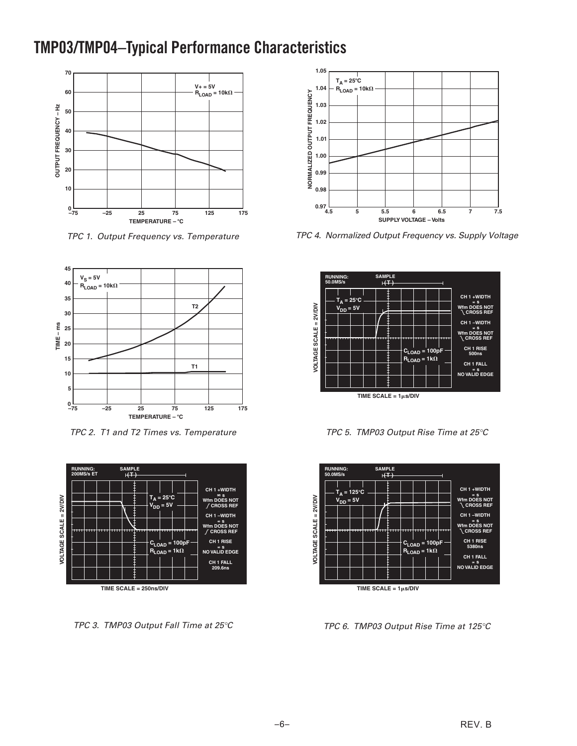## **TMP03/TMP04–Typical Performance Characteristics**



TPC 1. Output Frequency vs. Temperature



TPC 2. T1 and T2 Times vs. Temperature



TPC 3. TMP03 Output Fall Time at 25°C



TPC 4. Normalized Output Frequency vs. Supply Voltage



TPC 5. TMP03 Output Rise Time at 25°C



TPC 6. TMP03 Output Rise Time at 125°C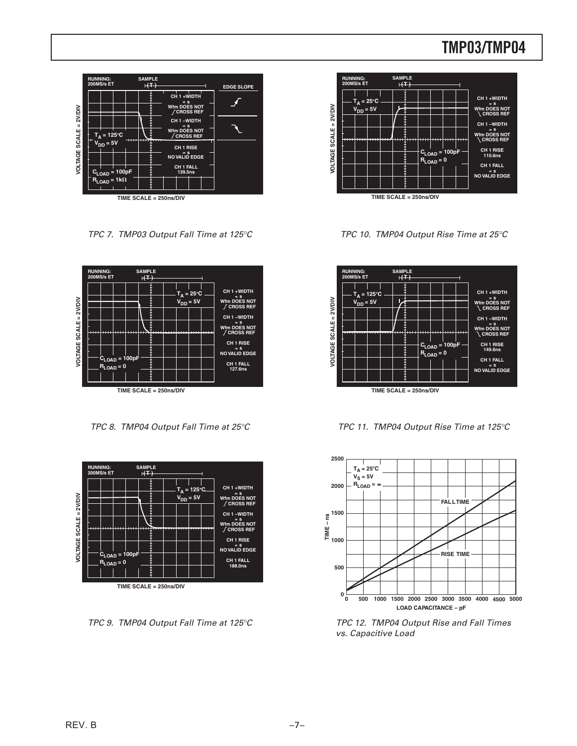

TPC 7. TMP03 Output Fall Time at 125°C



TPC 8. TMP04 Output Fall Time at 25°C



TPC 9. TMP04 Output Fall Time at 125°C



TPC 10. TMP04 Output Rise Time at 25°C



TPC 11. TMP04 Output Rise Time at 125°C



TPC 12. TMP04 Output Rise and Fall Times vs. Capacitive Load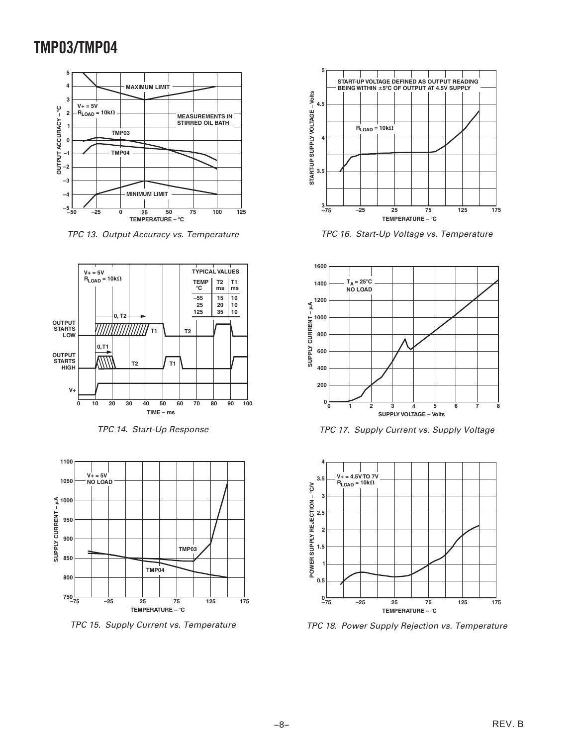

TPC 13. Output Accuracy vs. Temperature



TPC 14. Start-Up Response



TPC 15. Supply Current vs. Temperature



TPC 16. Start-Up Voltage vs. Temperature



TPC 17. Supply Current vs. Supply Voltage



TPC 18. Power Supply Rejection vs. Temperature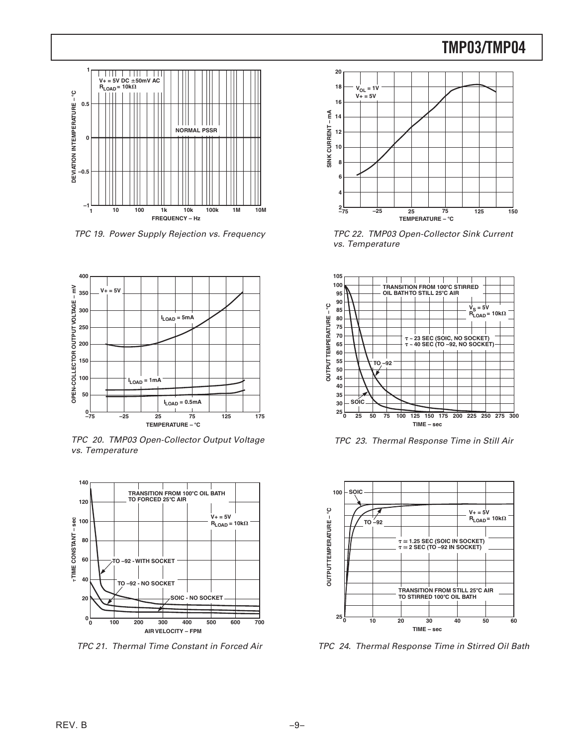

TPC 19. Power Supply Rejection vs. Frequency



TPC 20. TMP03 Open-Collector Output Voltage vs. Temperature



TPC 21. Thermal Time Constant in Forced Air



TPC 22. TMP03 Open-Collector Sink Current vs. Temperature



TPC 23. Thermal Response Time in Still Air



TPC 24. Thermal Response Time in Stirred Oil Bath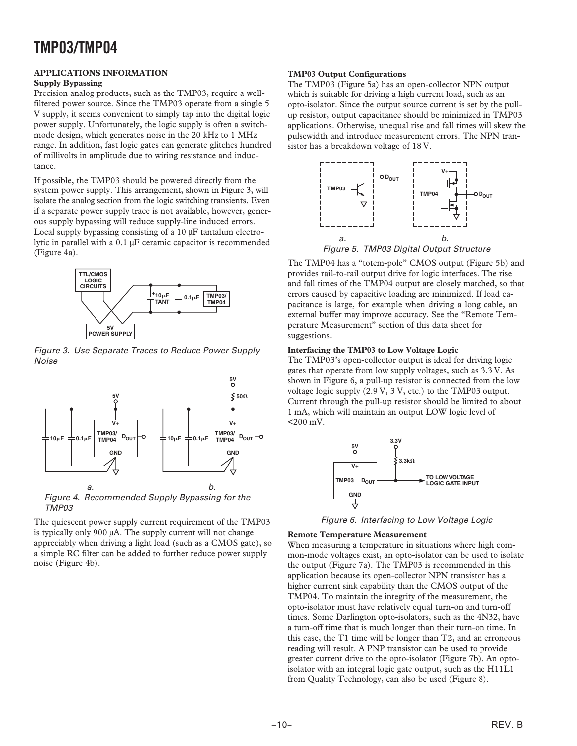### **APPLICATIONS INFORMATION**

### **Supply Bypassing**

Precision analog products, such as the TMP03, require a wellfiltered power source. Since the TMP03 operate from a single 5 V supply, it seems convenient to simply tap into the digital logic power supply. Unfortunately, the logic supply is often a switchmode design, which generates noise in the 20 kHz to 1 MHz range. In addition, fast logic gates can generate glitches hundred of millivolts in amplitude due to wiring resistance and inductance.

If possible, the TMP03 should be powered directly from the system power supply. This arrangement, shown in Figure 3, will isolate the analog section from the logic switching transients. Even if a separate power supply trace is not available, however, generous supply bypassing will reduce supply-line induced errors. Local supply bypassing consisting of a 10  $\mu$ F tantalum electrolytic in parallel with a 0.1 µF ceramic capacitor is recommended (Figure 4a).



Figure 3. Use Separate Traces to Reduce Power Supply Noise



Figure 4. Recommended Supply Bypassing for the TMP03

The quiescent power supply current requirement of the TMP03 is typically only 900 µA. The supply current will not change appreciably when driving a light load (such as a CMOS gate), so a simple RC filter can be added to further reduce power supply noise (Figure 4b).

### **TMP03 Output Configurations**

The TMP03 (Figure 5a) has an open-collector NPN output which is suitable for driving a high current load, such as an opto-isolator. Since the output source current is set by the pullup resistor, output capacitance should be minimized in TMP03 applications. Otherwise, unequal rise and fall times will skew the pulsewidth and introduce measurement errors. The NPN transistor has a breakdown voltage of 18 V.



The TMP04 has a "totem-pole" CMOS output (Figure 5b) and provides rail-to-rail output drive for logic interfaces. The rise and fall times of the TMP04 output are closely matched, so that errors caused by capacitive loading are minimized. If load capacitance is large, for example when driving a long cable, an external buffer may improve accuracy. See the "Remote Temperature Measurement" section of this data sheet for suggestions.

### **Interfacing the TMP03 to Low Voltage Logic**

The TMP03's open-collector output is ideal for driving logic gates that operate from low supply voltages, such as 3.3 V. As shown in Figure 6, a pull-up resistor is connected from the low voltage logic supply (2.9 V, 3 V, etc.) to the TMP03 output. Current through the pull-up resistor should be limited to about 1 mA, which will maintain an output LOW logic level of <200 mV.



Figure 6. Interfacing to Low Voltage Logic

### **Remote Temperature Measurement**

When measuring a temperature in situations where high common-mode voltages exist, an opto-isolator can be used to isolate the output (Figure 7a). The TMP03 is recommended in this application because its open-collector NPN transistor has a higher current sink capability than the CMOS output of the TMP04. To maintain the integrity of the measurement, the opto-isolator must have relatively equal turn-on and turn-off times. Some Darlington opto-isolators, such as the 4N32, have a turn-off time that is much longer than their turn-on time. In this case, the T1 time will be longer than T2, and an erroneous reading will result. A PNP transistor can be used to provide greater current drive to the opto-isolator (Figure 7b). An optoisolator with an integral logic gate output, such as the H11L1 from Quality Technology, can also be used (Figure 8).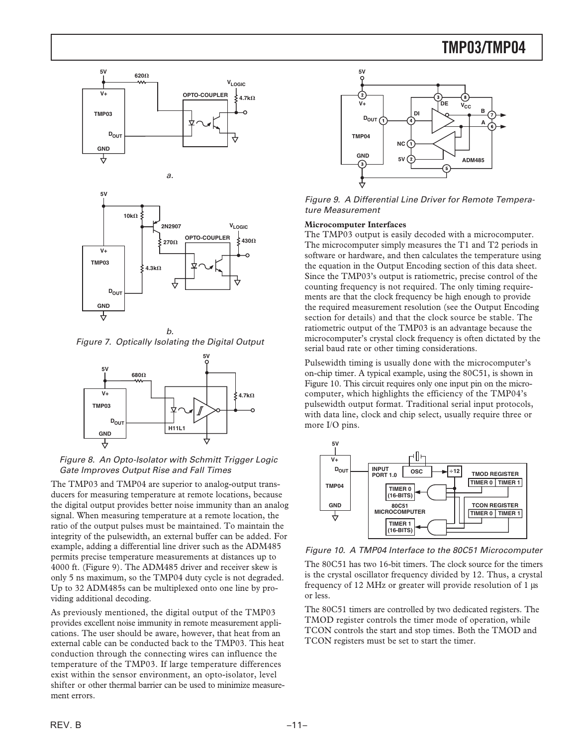





b. Figure 7. Optically Isolating the Digital Output



Figure 8. An Opto-Isolator with Schmitt Trigger Logic Gate Improves Output Rise and Fall Times

The TMP03 and TMP04 are superior to analog-output transducers for measuring temperature at remote locations, because the digital output provides better noise immunity than an analog signal. When measuring temperature at a remote location, the ratio of the output pulses must be maintained. To maintain the integrity of the pulsewidth, an external buffer can be added. For example, adding a differential line driver such as the ADM485 permits precise temperature measurements at distances up to 4000 ft. (Figure 9). The ADM485 driver and receiver skew is only 5 ns maximum, so the TMP04 duty cycle is not degraded. Up to 32 ADM485s can be multiplexed onto one line by providing additional decoding.

As previously mentioned, the digital output of the TMP03 provides excellent noise immunity in remote measurement applications. The user should be aware, however, that heat from an external cable can be conducted back to the TMP03. This heat conduction through the connecting wires can influence the temperature of the TMP03. If large temperature differences exist within the sensor environment, an opto-isolator, level shifter or other thermal barrier can be used to minimize measurement errors.



Figure 9. A Differential Line Driver for Remote Temperature Measurement

### **Microcomputer Interfaces**

The TMP03 output is easily decoded with a microcomputer. The microcomputer simply measures the T1 and T2 periods in software or hardware, and then calculates the temperature using the equation in the Output Encoding section of this data sheet. Since the TMP03's output is ratiometric, precise control of the counting frequency is not required. The only timing requirements are that the clock frequency be high enough to provide the required measurement resolution (see the Output Encoding section for details) and that the clock source be stable. The ratiometric output of the TMP03 is an advantage because the microcomputer's crystal clock frequency is often dictated by the serial baud rate or other timing considerations.

Pulsewidth timing is usually done with the microcomputer's on-chip timer. A typical example, using the 80C51, is shown in Figure 10. This circuit requires only one input pin on the microcomputer, which highlights the efficiency of the TMP04's pulsewidth output format. Traditional serial input protocols, with data line, clock and chip select, usually require three or more I/O pins.



Figure 10. A TMP04 Interface to the 80C51 Microcomputer

The 80C51 has two 16-bit timers. The clock source for the timers is the crystal oscillator frequency divided by 12. Thus, a crystal frequency of 12 MHz or greater will provide resolution of 1 µs or less.

The 80C51 timers are controlled by two dedicated registers. The TMOD register controls the timer mode of operation, while TCON controls the start and stop times. Both the TMOD and TCON registers must be set to start the timer.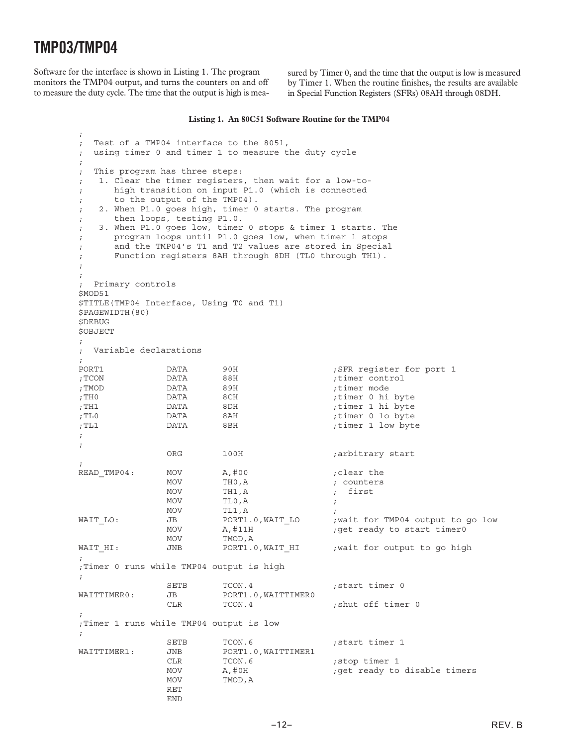;

Software for the interface is shown in Listing 1. The program monitors the TMP04 output, and turns the counters on and off to measure the duty cycle. The time that the output is high is measured by Timer 0, and the time that the output is low is measured by Timer 1. When the routine finishes, the results are available in Special Function Registers (SFRs) 08AH through 08DH.

#### **Listing 1. An 80C51 Software Routine for the TMP04**

; Test of a TMP04 interface to the 8051, ; using timer 0 and timer 1 to measure the duty cycle ; ; This program has three steps: ; 1. Clear the timer registers, then wait for a low-to- ; high transition on input P1.0 (which is connected ; to the output of the TMP04). ; 2. When P1.0 goes high, timer 0 starts. The program ; then loops, testing P1.0. ; 3. When P1.0 goes low, timer 0 stops & timer 1 starts. The ; program loops until P1.0 goes low, when timer 1 stops ; and the TMP04's T1 and T2 values are stored in Special ; Function registers 8AH through 8DH (TL0 through TH1). ; ; ; Primary controls \$MOD51 \$TITLE(TMP04 Interface, Using T0 and T1) \$PAGEWIDTH(80) \$DEBUG \$OBJECT ; ; Variable declarations ; PORT1 DATA 90H ;SFR register for port 1<br>
PORT1 :TCON DATA 88H :timer control ;TCON DATA 88H ;timer control ; TMOD DATA 89H ; timer mode ;THO **DATA** 8CH *i*timer 0 hi byte ;TH1 DATA 8DH ;timer 1 hi byte ;TL0 DATA 8AH ;timer 0 lo byte ;TL1 DATA 8BH ;timer 1 low byte ; ; ORG 100H ;arbitrary start ; READ TMP04: MOV A,#00 ;clear the MOV THO, A counters MOV TH1, A ; first MOV TLO, A MOV TL1, A WAIT LO:  $JB$  DORT1.0, WAIT LO ; wait for TMP04 output to go low MOV A, #11H ;get ready to start timer0 MOV TMOD,A WAIT HI: JNB PORT1.0, WAIT HI ; wait for output to go high ; ;Timer 0 runs while TMP04 output is high ; SETB TCON.4 ; start timer 0<br>JB PORT1.0.WAITTIMER0 WAITTIMER0: JB PORT1.0, WAITTIMER0 CLR TCON.4 ; shut off timer 0 ; ;Timer 1 runs while TMP04 output is low ; SETB TCON.6 ; start timer 1<br>JNB PORT1.0.WAITTIMER1 WAITTIMER1: JNB PORT1.0, WAITTIMER1 CLR TCON.6 ; stop timer 1 MOV A,#0H ;get ready to disable timers<br>MOV TMOD.A TMOD, A RET END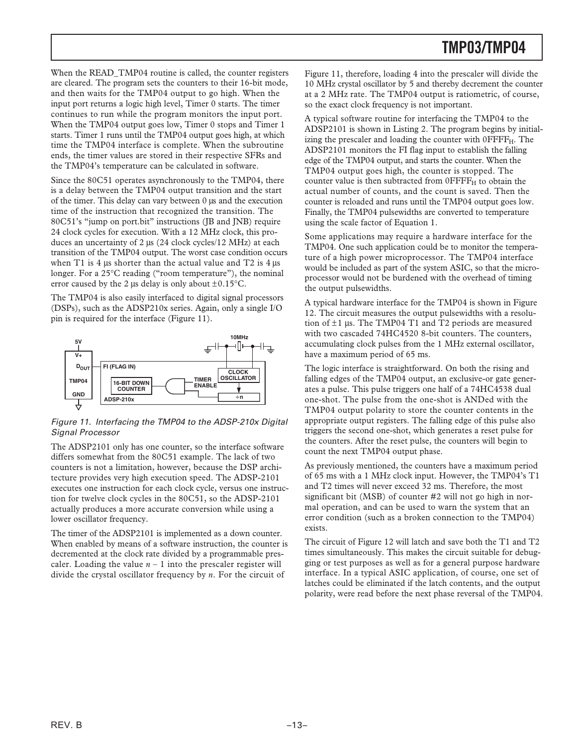When the READ\_TMP04 routine is called, the counter registers are cleared. The program sets the counters to their 16-bit mode, and then waits for the TMP04 output to go high. When the input port returns a logic high level, Timer 0 starts. The timer continues to run while the program monitors the input port. When the TMP04 output goes low, Timer 0 stops and Timer 1 starts. Timer 1 runs until the TMP04 output goes high, at which time the TMP04 interface is complete. When the subroutine ends, the timer values are stored in their respective SFRs and the TMP04's temperature can be calculated in software.

Since the 80C51 operates asynchronously to the TMP04, there is a delay between the TMP04 output transition and the start of the timer. This delay can vary between 0 µs and the execution time of the instruction that recognized the transition. The 80C51's "jump on port.bit" instructions (JB and JNB) require 24 clock cycles for execution. With a 12 MHz clock, this produces an uncertainty of 2 µs (24 clock cycles/12 MHz) at each transition of the TMP04 output. The worst case condition occurs when T1 is 4  $\mu$ s shorter than the actual value and T2 is 4  $\mu$ s longer. For a 25°C reading ("room temperature"), the nominal error caused by the 2 µs delay is only about  $\pm 0.15^{\circ}$ C.

The TMP04 is also easily interfaced to digital signal processors (DSPs), such as the ADSP210x series. Again, only a single I/O pin is required for the interface (Figure 11).



### Figure 11. Interfacing the TMP04 to the ADSP-210x Digital Signal Processor

The ADSP2101 only has one counter, so the interface software differs somewhat from the 80C51 example. The lack of two counters is not a limitation, however, because the DSP architecture provides very high execution speed. The ADSP-2101 executes one instruction for each clock cycle, versus one instruction for twelve clock cycles in the 80C51, so the ADSP-2101 actually produces a more accurate conversion while using a lower oscillator frequency.

The timer of the ADSP2101 is implemented as a down counter. When enabled by means of a software instruction, the counter is decremented at the clock rate divided by a programmable prescaler. Loading the value  $n - 1$  into the prescaler register will divide the crystal oscillator frequency by *n*. For the circuit of

Figure 11, therefore, loading 4 into the prescaler will divide the 10 MHz crystal oscillator by 5 and thereby decrement the counter at a 2 MHz rate. The TMP04 output is ratiometric, of course, so the exact clock frequency is not important.

A typical software routine for interfacing the TMP04 to the ADSP2101 is shown in Listing 2. The program begins by initializing the prescaler and loading the counter with  $0$ FFF $F<sub>H</sub>$ . The ADSP2101 monitors the FI flag input to establish the falling edge of the TMP04 output, and starts the counter. When the TMP04 output goes high, the counter is stopped. The counter value is then subtracted from  $0$ FFF $F_H$  to obtain the actual number of counts, and the count is saved. Then the counter is reloaded and runs until the TMP04 output goes low. Finally, the TMP04 pulsewidths are converted to temperature using the scale factor of Equation 1.

Some applications may require a hardware interface for the TMP04. One such application could be to monitor the temperature of a high power microprocessor. The TMP04 interface would be included as part of the system ASIC, so that the microprocessor would not be burdened with the overhead of timing the output pulsewidths.

A typical hardware interface for the TMP04 is shown in Figure 12. The circuit measures the output pulsewidths with a resolution of  $\pm 1$  us. The TMP04 T1 and T2 periods are measured with two cascaded 74HC4520 8-bit counters. The counters, accumulating clock pulses from the 1 MHz external oscillator, have a maximum period of 65 ms.

The logic interface is straightforward. On both the rising and falling edges of the TMP04 output, an exclusive-or gate generates a pulse. This pulse triggers one half of a 74HC4538 dual one-shot. The pulse from the one-shot is ANDed with the TMP04 output polarity to store the counter contents in the appropriate output registers. The falling edge of this pulse also triggers the second one-shot, which generates a reset pulse for the counters. After the reset pulse, the counters will begin to count the next TMP04 output phase.

As previously mentioned, the counters have a maximum period of 65 ms with a 1 MHz clock input. However, the TMP04's T1 and T2 times will never exceed 32 ms. Therefore, the most significant bit (MSB) of counter #2 will not go high in normal operation, and can be used to warn the system that an error condition (such as a broken connection to the TMP04) exists.

The circuit of Figure 12 will latch and save both the T1 and T2 times simultaneously. This makes the circuit suitable for debugging or test purposes as well as for a general purpose hardware interface. In a typical ASIC application, of course, one set of latches could be eliminated if the latch contents, and the output polarity, were read before the next phase reversal of the TMP04.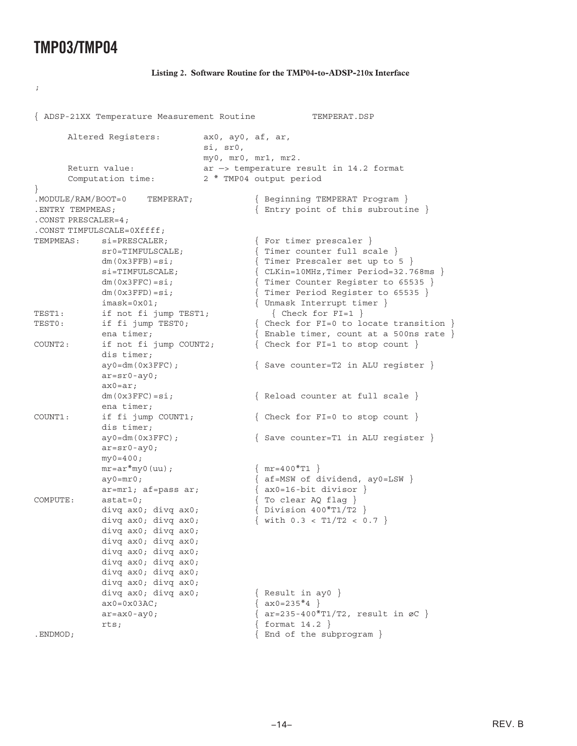;

#### **Listing 2. Software Routine for the TMP04-to-ADSP-210x Interface**

{ ADSP-21XX Temperature Measurement Routine TEMPERAT.DSP Altered Reqisters: ax0, ay0, af, ar, si, sr0, my0, mr0, mr1, mr2. Return value: ar —> temperature result in 14.2 format Computation time: 2 \* TMP04 output period } .MODULE/RAM/BOOT=0 TEMPERAT; { Beginning TEMPERAT Program } .ENTRY TEMPMEAS; { Entry point of this subroutine } .CONST PRESCALER=4; .CONST TIMFULSCALE=0Xffff; TEMPMEAS:  $si = PRESCALER$ ; { For timer prescaler } sr0=TIMFULSCALE;  $\{$  Timer counter full scale  $\}$  $dm(0x3FFB)=si;$  { Timer Prescaler set up to 5 } si=TIMFULSCALE; { CLKin=10MHz,Timer Period=32.768ms }  $dm(0x3FFC)=si;$  { Timer Counter Register to 65535 }  $dm(0x3FFD)=si;$  { Timer Period Reqister to 65535 } imask=0x01;  ${ \t{Unmask} \t{}}$ TEST1: if not fi jump TEST1; { Check for FI=1 }<br>TEST0: if fi jump TEST0; { Check for FI=0 to lo TEST1: If  $\begin{array}{ccc} 1 & \text{if } i \text{ and } i \text{ and } j \text{ are } j \text{ is } j \text{ and } j \text{ is } j \text{ is } j \text{ is } j \text{ is } j \text{ is } j \text{ is } j \text{ is } j \text{ is } j \text{ is } j \text{ is } j \text{ is } j \text{ is } j \text{ is } j \text{ is } j \text{ is } j \text{ is } j \text{ is } j \text{ is } j \text{ is } j \text{ is } j \text{ is } j \text{ is } j \text{ is } j \text{ is } j \text{ is } j \text{ is } j \text{ is } j \text{$ ena timer;  $\{$  Enable timer, count at a 500ns rate  $\}$ COUNT2: if not fi jump COUNT2; { Check for FI=1 to stop count } dis timer;  $ay0=dm(0x3FFC);$   $\{Save counter=T2 in ALU register\}$ ar=sr0-ay0; ax0=ar; dm(0x3FFC)=si;  $\{$  Reload counter at full scale  $\}$ ena timer; COUNT1: if fi jump COUNT1; { Check for FI=0 to stop count } dis timer;  $ay0=dm(0x3FFC);$  { Save counter=T1 in ALU reqister } ar=sr0-ay0;  $my0=400;$  $mr = ar^{*}my0(uu)$ ; {  $mr = 400*T1$  } ay0=mr0;  $\{ af = MSW \text{ of } dividend, ay0 = LSW \}$ ar=mr1; af=pass ar;  $\{ax0=16-bit divisor\}$ COMPUTE: astat=0; { To clear AQ flag } divq  $ax0$ ; divq  $ax0$ ;  $\{$  Division  $400*T1/T2$   $\}$ divq ax0; divq ax0;  $\{ \text{with } 0.3 < T1/T2 < 0.7 \}$ divq ax0; divq ax0; divq ax0; divq ax0; divq ax0; divq ax0; divq ax0; divq ax0; divq ax0; divq ax0; divq ax0; divq ax0; divq  $ax0$ ; divq  $ax0$ ;  $\{$  Result in ay0  $\}$  $ax0=0x03AC;$   $\{ax0=235*4\}$  $ar = ax0 - ay0$ ;  $\{ ar = 235 - 400 * T1/T2, result in \text{ or } \}$ rts; { format 14.2 } . ENDMOD; SUBDATE: The subprogram }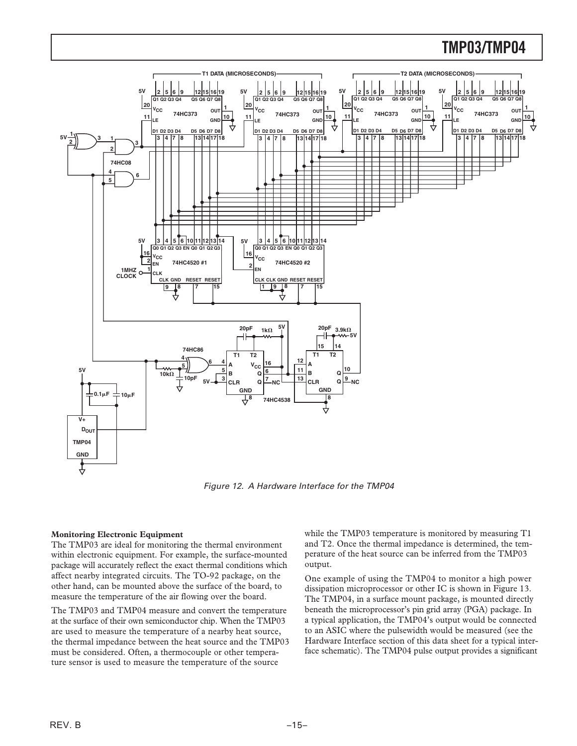

Figure 12. A Hardware Interface for the TMP04

### **Monitoring Electronic Equipment**

The TMP03 are ideal for monitoring the thermal environment within electronic equipment. For example, the surface-mounted package will accurately reflect the exact thermal conditions which affect nearby integrated circuits. The TO-92 package, on the other hand, can be mounted above the surface of the board, to measure the temperature of the air flowing over the board.

The TMP03 and TMP04 measure and convert the temperature at the surface of their own semiconductor chip. When the TMP03 are used to measure the temperature of a nearby heat source, the thermal impedance between the heat source and the TMP03 must be considered. Often, a thermocouple or other temperature sensor is used to measure the temperature of the source

while the TMP03 temperature is monitored by measuring T1 and T2. Once the thermal impedance is determined, the temperature of the heat source can be inferred from the TMP03 output.

One example of using the TMP04 to monitor a high power dissipation microprocessor or other IC is shown in Figure 13. The TMP04, in a surface mount package, is mounted directly beneath the microprocessor's pin grid array (PGA) package. In a typical application, the TMP04's output would be connected to an ASIC where the pulsewidth would be measured (see the Hardware Interface section of this data sheet for a typical interface schematic). The TMP04 pulse output provides a significant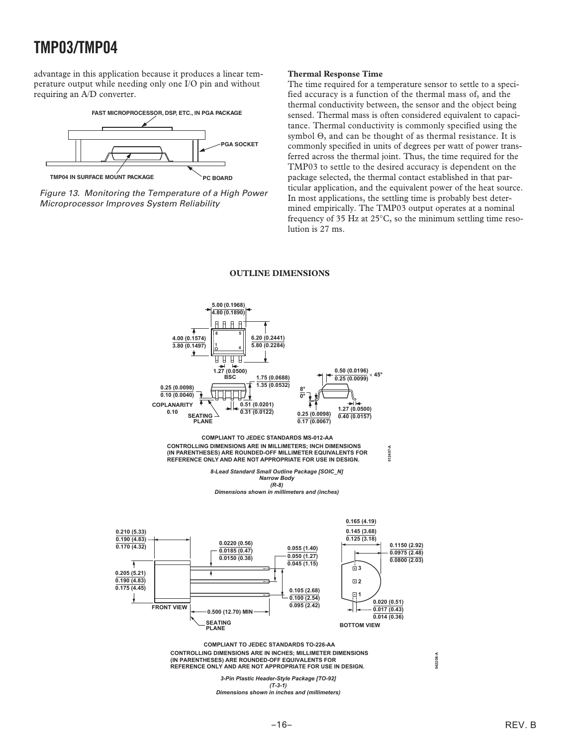advantage in this application because it produces a linear temperature output while needing only one I/O pin and without requiring an A/D converter.





#### **Thermal Response Time**

The time required for a temperature sensor to settle to a specified accuracy is a function of the thermal mass of, and the thermal conductivity between, the sensor and the object being sensed. Thermal mass is often considered equivalent to capacitance. Thermal conductivity is commonly specified using the symbol Θ, and can be thought of as thermal resistance. It is commonly specified in units of degrees per watt of power transferred across the thermal joint. Thus, the time required for the TMP03 to settle to the desired accuracy is dependent on the package selected, the thermal contact established in that particular application, and the equivalent power of the heat source. In most applications, the settling time is probably best determined empirically. The TMP03 output operates at a nominal frequency of 35 Hz at 25°C, so the minimum settling time resolution is 27 ms.

#### **OUTLINE DIMENSIONS**



**CONTROLLING DIMENSIONS ARE IN INCHES; MILLIMETER DIMENSIONS (IN PARENTHESES) ARE ROUNDED-OFF EQUIVALENTS FOR REFERENCE ONLY AND ARE NOT APPROPRIATE FOR USE IN DESIGN. COMPLIANT TO JEDEC STANDARDS TO-226-AA**

**042208-A**

*3-Pin Plastic Header-Style Package [TO-92] (T-3-1)*

*Dimensions shown in inches and (millimeters)*